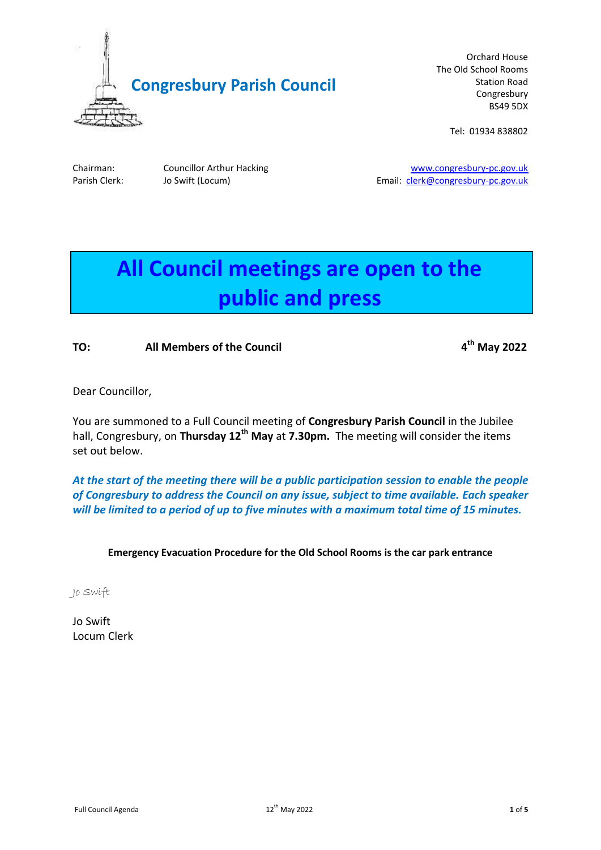

Orchard House The Old School Rooms Station Road Congresbury BS49 5DX

Tel: 01934 838802

Chairman: Councillor Arthur Hacking [www.congresbury-pc.gov.uk](http://www.congresbury-pc.gov.uk/) Parish Clerk: Jo Swift (Locum) and the contract of the Email: [clerk@congresbury-pc.gov.uk](mailto:clerk@congresbury-pc.gov.uk)

# **All Council meetings are open to the public and press**

# **TO: All Members of the Council 4**

**th May 2022**

Dear Councillor,

You are summoned to a Full Council meeting of **Congresbury Parish Council** in the Jubilee hall, Congresbury, on **Thursday 12th May** at **7.30pm.** The meeting will consider the items set out below.

*At the start of the meeting there will be a public participation session to enable the people of Congresbury to address the Council on any issue, subject to time available. Each speaker will be limited to a period of up to five minutes with a maximum total time of 15 minutes.*

# **Emergency Evacuation Procedure for the Old School Rooms is the car park entrance**

Jo Swift

Jo Swift Locum Clerk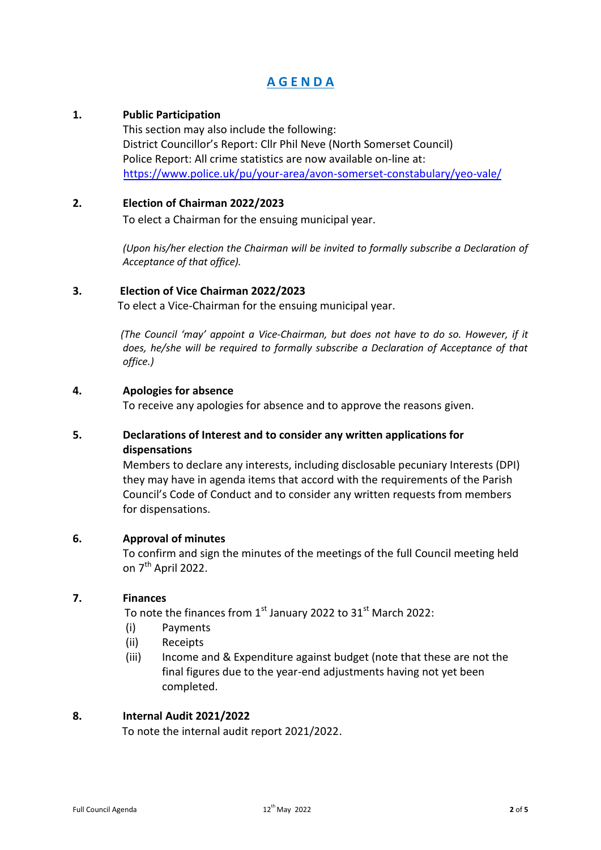# **A G E N D A**

# **1. Public Participation**

This section may also include the following: District Councillor's Report: Cllr Phil Neve (North Somerset Council) Police Report: All crime statistics are now available on-line at: <https://www.police.uk/pu/your-area/avon-somerset-constabulary/yeo-vale/>

#### **2. Election of Chairman 2022/2023**

To elect a Chairman for the ensuing municipal year.

*(Upon his/her election the Chairman will be invited to formally subscribe a Declaration of Acceptance of that office).* 

#### **3. Election of Vice Chairman 2022/2023**

To elect a Vice-Chairman for the ensuing municipal year.

*(The Council 'may' appoint a Vice-Chairman, but does not have to do so. However, if it does, he/she will be required to formally subscribe a Declaration of Acceptance of that office.)*

#### **4. Apologies for absence**

To receive any apologies for absence and to approve the reasons given.

# **5. Declarations of Interest and to consider any written applications for dispensations**

Members to declare any interests, including disclosable pecuniary Interests (DPI) they may have in agenda items that accord with the requirements of the Parish Council's Code of Conduct and to consider any written requests from members for dispensations.

# **6. Approval of minutes**

To confirm and sign the minutes of the meetings of the full Council meeting held on 7<sup>th</sup> April 2022.

# **7. Finances**

To note the finances from  $1<sup>st</sup>$  January 2022 to 31 $<sup>st</sup>$  March 2022:</sup>

- (i) Payments
- (ii) Receipts
- (iii) Income and & Expenditure against budget (note that these are not the final figures due to the year-end adjustments having not yet been completed.

#### **8. Internal Audit 2021/2022**

To note the internal audit report 2021/2022.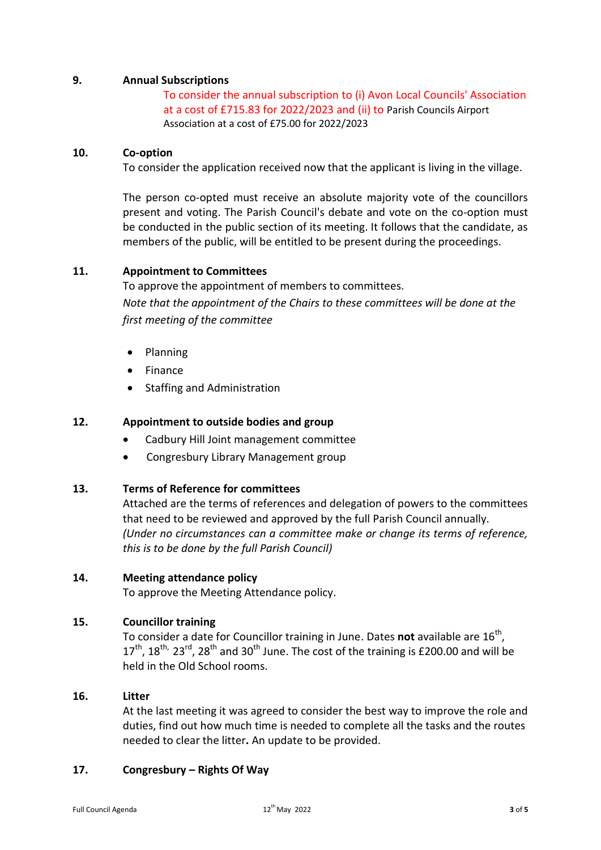# **9. Annual Subscriptions**

To consider the annual subscription to (i) Avon Local Councils' Association at a cost of £715.83 for 2022/2023 and (ii) to Parish Councils Airport Association at a cost of £75.00 for 2022/2023

#### **10. Co-option**

To consider the application received now that the applicant is living in the village.

The person co-opted must receive an absolute majority vote of the councillors present and voting. The Parish Council's debate and vote on the co-option must be conducted in the public section of its meeting. It follows that the candidate, as members of the public, will be entitled to be present during the proceedings.

#### **11. Appointment to Committees**

To approve the appointment of members to committees.

*Note that the appointment of the Chairs to these committees will be done at the first meeting of the committee*

- Planning
- Finance
- Staffing and Administration

#### **12. Appointment to outside bodies and group**

- Cadbury Hill Joint management committee
- Congresbury Library Management group
- **13. Terms of Reference for committees**

Attached are the terms of references and delegation of powers to the committees that need to be reviewed and approved by the full Parish Council annually. *(Under no circumstances can a committee make or change its terms of reference, this is to be done by the full Parish Council)*

#### **14. Meeting attendance policy**

To approve the Meeting Attendance policy.

## **15. Councillor training**

To consider a date for Councillor training in June. Dates **not** available are 16<sup>th</sup>,  $17^{\text{th}}$ ,  $18^{\text{th}}$ ,  $23^{\text{rd}}$ ,  $28^{\text{th}}$  and  $30^{\text{th}}$  June. The cost of the training is £200.00 and will be held in the Old School rooms.

#### **16. Litter**

At the last meeting it was agreed to consider the best way to improve the role and duties, find out how much time is needed to complete all the tasks and the routes needed to clear the litter**.** An update to be provided.

#### **17. Congresbury – Rights Of Way**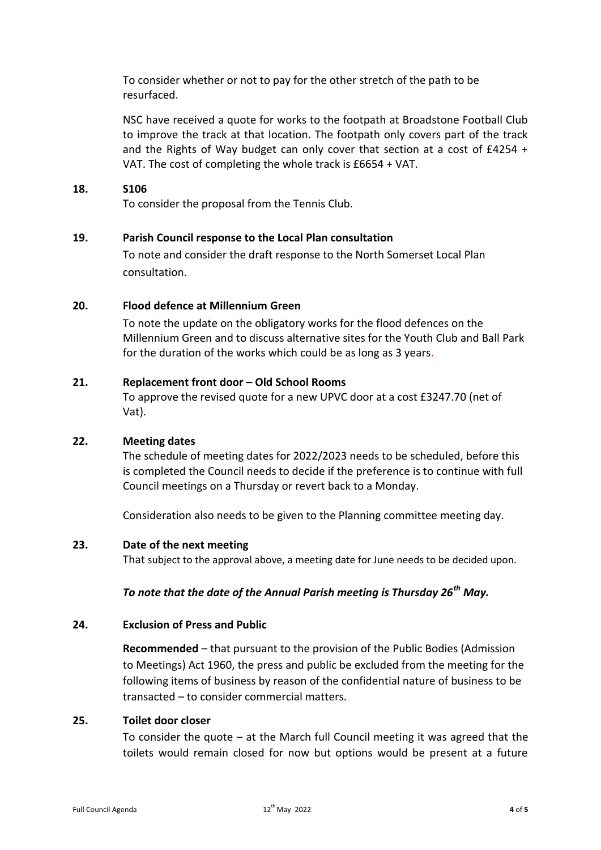To consider whether or not to pay for the other stretch of the path to be resurfaced.

NSC have received a quote for works to the footpath at Broadstone Football Club to improve the track at that location. The footpath only covers part of the track and the Rights of Way budget can only cover that section at a cost of £4254 + VAT. The cost of completing the whole track is £6654 + VAT.

#### **18. S106**

To consider the proposal from the Tennis Club.

#### **19. Parish Council response to the Local Plan consultation**

To note and consider the draft response to the North Somerset Local Plan consultation.

#### **20. Flood defence at Millennium Green**

To note the update on the obligatory works for the flood defences on the Millennium Green and to discuss alternative sites for the Youth Club and Ball Park for the duration of the works which could be as long as 3 years.

#### **21. Replacement front door – Old School Rooms**

To approve the revised quote for a new UPVC door at a cost £3247.70 (net of Vat).

#### **22. Meeting dates**

The schedule of meeting dates for 2022/2023 needs to be scheduled, before this is completed the Council needs to decide if the preference is to continue with full Council meetings on a Thursday or revert back to a Monday.

Consideration also needs to be given to the Planning committee meeting day.

#### **23. Date of the next meeting**

That subject to the approval above, a meeting date for June needs to be decided upon.

# *To note that the date of the Annual Parish meeting is Thursday 26th May.*

# **24. Exclusion of Press and Public**

**Recommended** – that pursuant to the provision of the Public Bodies (Admission to Meetings) Act 1960, the press and public be excluded from the meeting for the following items of business by reason of the confidential nature of business to be transacted – to consider commercial matters.

#### **25. Toilet door closer**

To consider the quote – at the March full Council meeting it was agreed that the toilets would remain closed for now but options would be present at a future